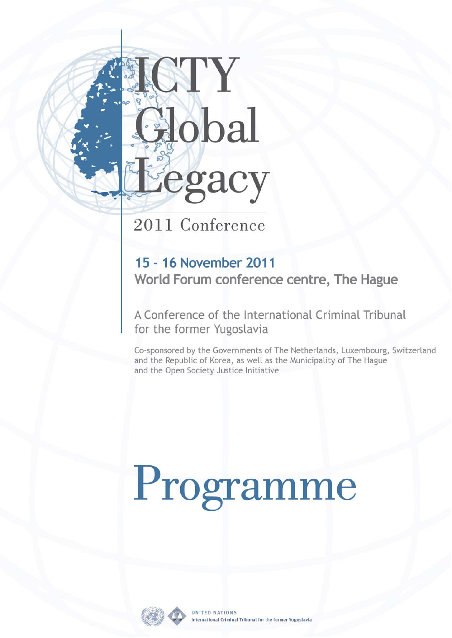# ICTY Global Eegacy

## 2011 Conference

### 15 - 16 November 2011 World Forum conference centre, The Hague

A Conference of the International Criminal Tribunal for the former Yugoslavia

Co-sponsored by the Governments of The Netherlands, Luxembourg, Switzerland and the Republic of Korea, as well as the Municipality of The Hague and the Open Society Justice Initiative

# Programme

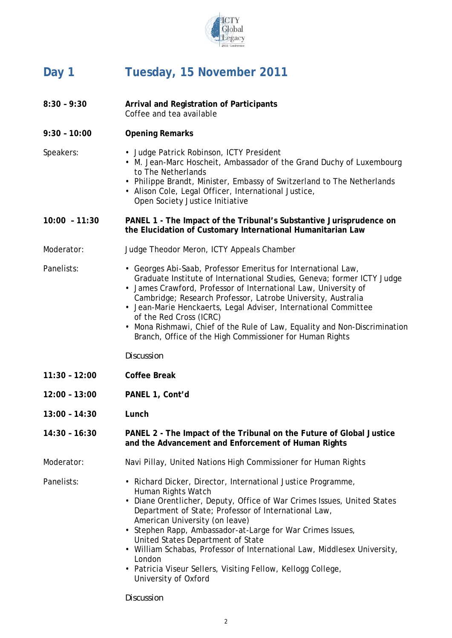

### **Day 1 Tuesday, 15 November 2011**

- **8:30 9:30 Arrival and Registration of Participants**  Coffee and tea available **9:30 – 10:00 Opening Remarks**  Speakers: • Judge Patrick Robinson, ICTY President • M. Jean-Marc Hoscheit, Ambassador of the Grand Duchy of Luxembourg to The Netherlands • Philippe Brandt, Minister, Embassy of Switzerland to The Netherlands • Alison Cole, Legal Officer, International Justice, Open Society Justice Initiative **10:00 – 11:30 PANEL 1 - The Impact of the Tribunal's Substantive Jurisprudence on the Elucidation of Customary International Humanitarian Law**  Moderator: Judge Theodor Meron, ICTY Appeals Chamber Panelists: • Georges Abi-Saab, Professor Emeritus for International Law, Graduate Institute of International Studies, Geneva; former ICTY Judge • James Crawford, Professor of International Law, University of Cambridge; Research Professor, Latrobe University, Australia • Jean-Marie Henckaerts, Legal Adviser, International Committee of the Red Cross (ICRC) • Mona Rishmawi, Chief of the Rule of Law, Equality and Non-Discrimination Branch, Office of the High Commissioner for Human Rights  *Discussion*  **11:30 – 12:00 Coffee Break 12:00 – 13:00 PANEL 1, Cont'd 13:00 – 14:30 Lunch 14:30 – 16:30 PANEL 2 - The Impact of the Tribunal on the Future of Global Justice and the Advancement and Enforcement of Human Rights**  Moderator: Navi Pillay, United Nations High Commissioner for Human Rights Panelists: • Richard Dicker, Director, International Justice Programme, Human Rights Watch • Diane Orentlicher, Deputy, Office of War Crimes Issues, United States Department of State; Professor of International Law, American University (on leave) • Stephen Rapp, Ambassador-at-Large for War Crimes Issues, United States Department of State • William Schabas, Professor of International Law, Middlesex University, London • Patricia Viseur Sellers, Visiting Fellow, Kellogg College,
	- *Discussion*

University of Oxford